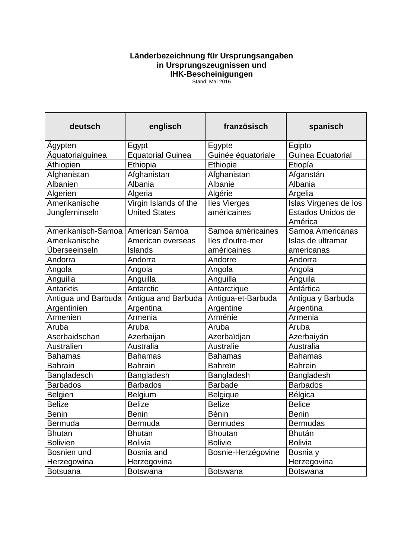## **Länderbezeichnung für Ursprungsangaben in Ursprungszeugnissen und IHK-Bescheinigungen**

Stand: Mai 2016

| deutsch                             | englisch                                      | französisch                        | spanisch                                              |
|-------------------------------------|-----------------------------------------------|------------------------------------|-------------------------------------------------------|
| Agypten                             | Egypt                                         | Egypte                             | Egipto                                                |
| Aquatorialguinea                    | <b>Equatorial Guinea</b>                      | Guinée équatoriale                 | <b>Guinea Ecuatorial</b>                              |
| Äthiopien                           | Ethiopia                                      | <b>Ethiopie</b>                    | Etiopía                                               |
| Afghanistan                         | Afghanistan                                   | Afghanistan                        | Afganstán                                             |
| Albanien                            | Albania                                       | Albanie                            | Albania                                               |
| Algerien                            | Algeria                                       | Algérie                            | Argelia                                               |
| Amerikanische<br>Jungferninseln     | Virgin Islands of the<br><b>United States</b> | <b>Iles Vierges</b><br>américaines | Islas Virgenes de los<br>Estados Unidos de<br>América |
| Amerikanisch-Samoa   American Samoa |                                               | Samoa américaines                  | Samoa Americanas                                      |
| Amerikanische<br>Überseeinseln      | American overseas<br>Islands                  | lles d'outre-mer<br>américaines    | Islas de ultramar<br>americanas                       |
| Andorra                             | Andorra                                       | Andorre                            | Andorra                                               |
| Angola                              | Angola                                        | Angola                             | Angola                                                |
| Anguilla                            | Anguilla                                      | Anguilla                           | Anguila                                               |
| <b>Antarktis</b>                    | Antarctic                                     | Antarctique                        | Antártica                                             |
| Antigua und Barbuda                 | Antigua and Barbuda                           | Antigua-et-Barbuda                 | Antigua y Barbuda                                     |
| Argentinien                         | Argentina                                     | Argentine                          | Argentina                                             |
| Armenien                            | Armenia                                       | Arménie                            | Armenia                                               |
| Aruba                               | Aruba                                         | Aruba                              | Aruba                                                 |
| Aserbaidschan                       | Azerbaijan                                    | Azerbaïdjan                        | Azerbaiyán                                            |
| Australien                          | Australia                                     | <b>Australie</b>                   | Australia                                             |
| <b>Bahamas</b>                      | <b>Bahamas</b>                                | <b>Bahamas</b>                     | <b>Bahamas</b>                                        |
| <b>Bahrain</b>                      | <b>Bahrain</b>                                | <b>Bahrein</b>                     | <b>Bahrein</b>                                        |
| Bangladesch                         | Bangladesh                                    | Bangladesh                         | Bangladesh                                            |
| <b>Barbados</b>                     | <b>Barbados</b>                               | <b>Barbade</b>                     | <b>Barbados</b>                                       |
| <b>Belgien</b>                      | <b>Belgium</b>                                | <b>Belgique</b>                    | Bélgica                                               |
| <b>Belize</b>                       | <b>Belize</b>                                 | <b>Belize</b>                      | <b>Belice</b>                                         |
| <b>Benin</b>                        | <b>Benin</b>                                  | Bénin                              | <b>Benin</b>                                          |
| <b>Bermuda</b>                      | Bermuda                                       | <b>Bermudes</b>                    | <b>Bermudas</b>                                       |
| <b>Bhutan</b>                       | <b>Bhutan</b>                                 | <b>Bhoutan</b>                     | <b>Bhután</b>                                         |
| <b>Bolivien</b>                     | <b>Bolivia</b>                                | <b>Bolivie</b>                     | <b>Bolivia</b>                                        |
| Bosnien und                         | Bosnia and                                    | Bosnie-Herzégovine                 | Bosnia y                                              |
| Herzegowina                         | Herzegovina                                   |                                    | Herzegovina                                           |
| <b>Botsuana</b>                     | <b>Botswana</b>                               | <b>Botswana</b>                    | <b>Botswana</b>                                       |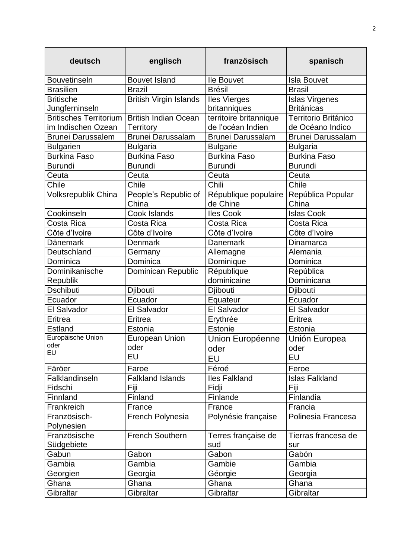| deutsch                       | englisch                      | französisch                      | spanisch                   |
|-------------------------------|-------------------------------|----------------------------------|----------------------------|
| <b>Bouvetinseln</b>           | <b>Bouvet Island</b>          | <b>Ile Bouvet</b>                | <b>Isla Bouvet</b>         |
| <b>Brasilien</b>              | <b>Brazil</b>                 | <b>Brésil</b>                    | <b>Brasil</b>              |
| <b>Britische</b>              | <b>British Virgin Islands</b> | <b>Iles Vierges</b>              | <b>Islas Virgenes</b>      |
| Jungferninseln                |                               | britanniques                     | <b>Británicas</b>          |
| <b>Britisches Territorium</b> | <b>British Indian Ocean</b>   | territoire britannique           | Territorio Británico       |
| im Indischen Ozean            | Territory                     | de l'océan Indien                | de Océano Indico           |
| <b>Brunei Darussalem</b>      | <b>Brunei Darussalam</b>      | <b>Brunei Darussalam</b>         | Brunei Darussalam          |
| <b>Bulgarien</b>              | <b>Bulgaria</b>               | <b>Bulgarie</b>                  | <b>Bulgaria</b>            |
| <b>Burkina Faso</b>           | <b>Burkina Faso</b>           | <b>Burkina Faso</b>              | Burkina Faso               |
| <b>Burundi</b>                | <b>Burundi</b>                | <b>Burundi</b>                   | <b>Burundi</b>             |
| Ceuta                         | Ceuta                         | Ceuta                            | Ceuta                      |
| Chile                         | Chile                         | Chili                            | Chile                      |
| Volksrepublik China           | People's Republic of<br>China | République populaire<br>de Chine | República Popular<br>China |
| Cookinseln                    | Cook Islands                  | <b>Iles Cook</b>                 | <b>Islas Cook</b>          |
| Costa Rica                    | Costa Rica                    | Costa Rica                       | Costa Rica                 |
| Côte d'Ivoire                 | Côte d'Ivoire                 | Côte d'Ivoire                    | Côte d'Ivoire              |
| Dänemark                      | <b>Denmark</b>                | <b>Danemark</b>                  | Dinamarca                  |
| Deutschland                   | Germany                       | Allemagne                        | Alemania                   |
| Dominica                      | Dominica                      | Dominique                        | Dominica                   |
| Dominikanische                | Dominican Republic            | République                       | República                  |
| Republik                      |                               | dominicaine                      | Dominicana                 |
| <b>Dschibuti</b>              | Djibouti                      | Djibouti                         | Djibouti                   |
| Ecuador                       | Ecuador                       | Equateur                         | Ecuador                    |
| El Salvador                   | El Salvador                   | El Salvador                      | El Salvador                |
| Eritrea                       | Eritrea                       | Erythrée                         | Eritrea                    |
| <b>Estland</b>                | Estonia                       | Estonie                          | Estonia                    |
| Europäische Union             | <b>European Union</b>         | Union Européenne                 | Unión Europea              |
| oder<br>EU                    | oder                          | oder                             | oder                       |
|                               | EU                            | EU                               | EU                         |
| Färöer                        | Faroe                         | Féroé                            | Feroe                      |
| Falklandinseln                | <b>Falkland Islands</b>       | <b>Iles Falkland</b>             | <b>Islas Falkland</b>      |
| Fidschi                       | Fiji                          | Fidji                            | Fiji                       |
| Finnland                      | Finland                       | Finlande                         | Finlandia                  |
| Frankreich                    | France                        | France                           | Francia                    |
| Französisch-<br>Polynesien    | French Polynesia              | Polynésie française              | Polinesia Francesa         |
| Französische                  | <b>French Southern</b>        | Terres française de              | Tierras francesa de        |
| Südgebiete                    |                               | sud                              | sur                        |
| Gabun                         | Gabon                         | Gabon                            | Gabón                      |
| Gambia                        | Gambia                        | Gambie                           | Gambia                     |
| Georgien                      | Georgia                       | Géorgie                          | Georgia                    |
| Ghana                         | Ghana                         | Ghana                            | Ghana                      |
| Gibraltar                     | Gibraltar                     | Gibraltar                        | Gibraltar                  |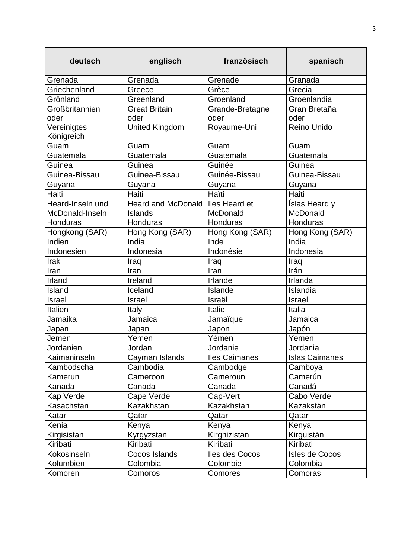| deutsch          | englisch                  | französisch          | spanisch              |
|------------------|---------------------------|----------------------|-----------------------|
| Grenada          | Grenada                   | Grenade              | Granada               |
| Griechenland     | Greece                    | Grèce                | Grecia                |
| Grönland         | Greenland                 | Groenland            | Groenlandia           |
| Großbritannien   | <b>Great Britain</b>      | Grande-Bretagne      | Gran Bretaña          |
| oder             | oder                      | oder                 | oder                  |
| Vereinigtes      | <b>United Kingdom</b>     | Royaume-Uni          | Reino Unido           |
| Königreich       |                           |                      |                       |
| Guam             | Guam                      | Guam                 | Guam                  |
| Guatemala        | Guatemala                 | Guatemala            | Guatemala             |
| Guinea           | Guinea                    | Guinée               | Guinea                |
| Guinea-Bissau    | Guinea-Bissau             | Guinée-Bissau        | Guinea-Bissau         |
| Guyana           | Guyana                    | Guyana               | Guyana                |
| Haiti            | Haiti                     | Haïti                | Haiti                 |
| Heard-Inseln und | <b>Heard and McDonald</b> | Iles Heard et        | <b>Islas Heard y</b>  |
| McDonald-Inseln  | <b>Islands</b>            | McDonald             | McDonald              |
| <b>Honduras</b>  | Honduras                  | Honduras             | Honduras              |
| Hongkong (SAR)   | Hong Kong (SAR)           | Hong Kong (SAR)      | Hong Kong (SAR)       |
| Indien           | India                     | Inde                 | India                 |
| Indonesien       | Indonesia                 | Indonésie            | Indonesia             |
| Irak             | Iraq                      | Iraq                 | Iraq                  |
| Iran             | Iran                      | Iran                 | Irán                  |
| Irland           | Ireland                   | Irlande              | Irlanda               |
| Island           | Iceland                   | Islande              | Islandia              |
| Israel           | <b>Israel</b>             | Israël               | <b>Israel</b>         |
| Italien          | Italy                     | Italie               | Italia                |
| Jamaika          | Jamaica                   | Jamaïque             | Jamaica               |
| Japan            | Japan                     | Japon                | Japón                 |
| Jemen            | Yemen                     | Yémen                | Yemen                 |
| Jordanien        | Jordan                    | Jordanie             | Jordania              |
| Kaimaninseln     | Cayman Islands            | <b>Iles Caimanes</b> | <b>Islas Caimanes</b> |
| Kambodscha       | Cambodia                  | Cambodge             | Camboya               |
| Kamerun          | Cameroon                  | Cameroun             | Camerún               |
| Kanada           | Canada                    | Canada               | Canadá                |
| Kap Verde        | Cape Verde                | Cap-Vert             | Cabo Verde            |
| Kasachstan       | Kazakhstan                | Kazakhstan           | Kazakstán             |
| Katar            | Qatar                     | Qatar                | Qatar                 |
| Kenia            | Kenya                     | Kenya                | Kenya                 |
| Kirgisistan      | Kyrgyzstan                | Kirghizistan         | Kirguistán            |
| Kiribati         | Kiribati                  | Kiribati             | Kiribati              |
| Kokosinseln      | Cocos Islands             | lles des Cocos       | Isles de Cocos        |
| Kolumbien        | Colombia                  | Colombie             | Colombia              |
| Komoren          | Comoros                   | Comores              | Comoras               |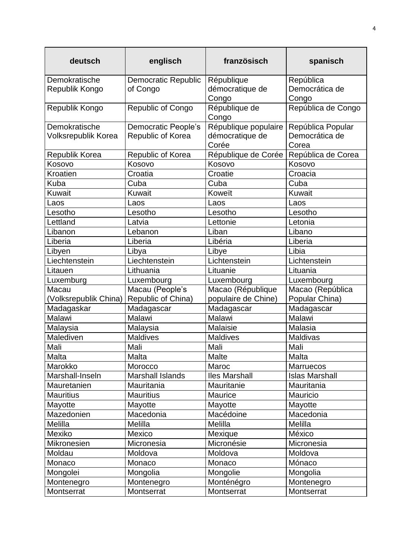| deutsch               | englisch                   | französisch            | spanisch              |
|-----------------------|----------------------------|------------------------|-----------------------|
| Demokratische         | <b>Democratic Republic</b> | République             | República             |
| Republik Kongo        | of Congo                   | démocratique de        | Democrática de        |
|                       |                            | Congo                  | Congo                 |
| Republik Kongo        | <b>Republic of Congo</b>   | République de<br>Congo | República de Congo    |
| Demokratische         | <b>Democratic People's</b> | République populaire   | República Popular     |
| Volksrepublik Korea   | Republic of Korea          | démocratique de        | Democrática de        |
|                       |                            | Corée                  | Corea                 |
| Republik Korea        | Republic of Korea          | République de Corée    | República de Corea    |
| Kosovo                | Kosovo                     | Kosovo                 | Kosovo                |
| Kroatien              | Croatia                    | Croatie                | Croacia               |
| Kuba                  | Cuba                       | Cuba                   | Cuba                  |
| Kuwait                | Kuwait                     | Koweït                 | <b>Kuwait</b>         |
| Laos                  | Laos                       | Laos                   | Laos                  |
| Lesotho               | Lesotho                    | Lesotho                | Lesotho               |
| Lettland              | Latvia                     | Lettonie               | Letonia               |
| Libanon               | Lebanon                    | Liban                  | Libano                |
| Liberia               | Liberia                    | Libéria                | Liberia               |
| Libyen                | Libya                      | Libye                  | Libia                 |
| Liechtenstein         | Liechtenstein              | Lichtenstein           | Lichtenstein          |
| Litauen               | Lithuania                  | Lituanie               | Lituania              |
| Luxemburg             | Luxembourg                 | Luxembourg             | Luxembourg            |
| Macau                 | Macau (People's            | Macao (République      | Macao (República      |
| (Volksrepublik China) | Republic of China)         | populaire de Chine)    | Popular China)        |
| Madagaskar            | Madagascar                 | Madagascar             | Madagascar            |
| Malawi                | Malawi                     | Malawi                 | Malawi                |
| Malaysia              | Malaysia                   | Malaisie               | Malasia               |
| Malediven             | <b>Maldives</b>            | <b>Maldives</b>        | Maldivas              |
| Mali                  | Mali                       | Mali                   | Mali                  |
| Malta                 | Malta                      | <b>Malte</b>           | Malta                 |
| Marokko               | Morocco                    | Maroc                  | Marruecos             |
| Marshall-Inseln       | Marshall Islands           | <b>Iles Marshall</b>   | <b>Islas Marshall</b> |
| Mauretanien           | Mauritania                 | Mauritanie             | Mauritania            |
| <b>Mauritius</b>      | <b>Mauritius</b>           | Maurice                | Mauricio              |
| Mayotte               | Mayotte                    | Mayotte                | Mayotte               |
| Mazedonien            | Macedonia                  | Macédoine              | Macedonia             |
| Melilla               | Melilla                    | Melilla                | Melilla               |
| Mexiko                | Mexico                     | Mexique                | México                |
| Mikronesien           | Micronesia                 | Micronésie             | Micronesia            |
| Moldau                | Moldova                    | Moldova                | Moldova               |
| Monaco                | Monaco                     | Monaco                 | Mónaco                |
| Mongolei              | Mongolia                   | Mongolie               | Mongolia              |
| Montenegro            | Montenegro                 | Monténégro             | Montenegro            |
| Montserrat            | Montserrat                 | Montserrat             | Montserrat            |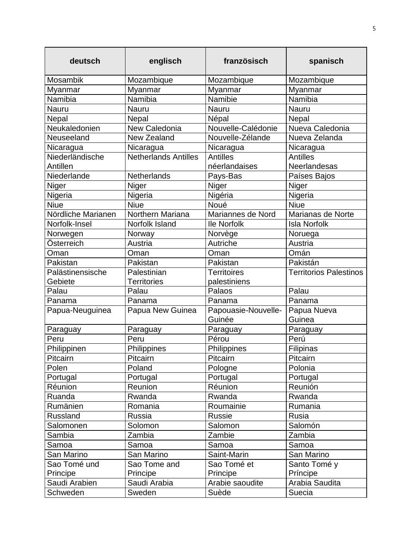| deutsch            | englisch                    | französisch                   | spanisch                      |
|--------------------|-----------------------------|-------------------------------|-------------------------------|
| <b>Mosambik</b>    | Mozambique                  | Mozambique                    | Mozambique                    |
| Myanmar            | Myanmar                     | Myanmar                       | Myanmar                       |
| Namibia            | Namibia                     | Namibie                       | Namibia                       |
| Nauru              | <b>Nauru</b>                | <b>Nauru</b>                  | <b>Nauru</b>                  |
| Nepal              | Nepal                       | Népal                         | Nepal                         |
| Neukaledonien      | New Caledonia               | Nouvelle-Calédonie            | Nueva Caledonia               |
| Neuseeland         | New Zealand                 | Nouvelle-Zélande              | Nueva Zelanda                 |
| Nicaragua          | Nicaragua                   | Nicaragua                     | Nicaragua                     |
| Niederländische    | <b>Netherlands Antilles</b> | <b>Antilles</b>               | <b>Antilles</b>               |
| Antillen           |                             | néerlandaises                 | <b>Neerlandesas</b>           |
| Niederlande        | <b>Netherlands</b>          | Pays-Bas                      | Países Bajos                  |
| Niger              | Niger                       | Niger                         | Niger                         |
| Nigeria            | Nigeria                     | Nigéria                       | Nigeria                       |
| <b>Niue</b>        | <b>Niue</b>                 | Noué                          | <b>Niue</b>                   |
| Nördliche Marianen | <b>Northern Mariana</b>     | Mariannes de Nord             | Marianas de Norte             |
| Norfolk-Insel      | Norfolk Island              | <b>Ile Norfolk</b>            | <b>Isla Norfolk</b>           |
| Norwegen           | Norway                      | Norvège                       | Noruega                       |
| Österreich         | Austria                     | Autriche                      | Austria                       |
| Oman               | Oman                        | Oman                          | Omán                          |
| Pakistan           | Pakistan                    | Pakistan                      | Pakistán                      |
| Palästinensische   | Palestinian                 | <b>Territoires</b>            | <b>Territorios Palestinos</b> |
| Gebiete            | <b>Territories</b>          | palestiniens                  |                               |
| Palau              | Palau                       | Palaos                        | Palau                         |
| Panama             | Panama                      | Panama                        | Panama                        |
| Papua-Neuguinea    | Papua New Guinea            | Papouasie-Nouvelle-<br>Guinée | Papua Nueva<br>Guinea         |
| Paraguay           | Paraguay                    | Paraguay                      | Paraguay                      |
| Peru               | Peru                        | Pérou                         | Perú                          |
| Philippinen        | Philippines                 | Philippines                   | Filipinas                     |
| Pitcairn           | Pitcairn                    | Pitcairn                      | Pitcairn                      |
| Polen              | Poland                      | Pologne                       | Polonia                       |
| Portugal           | Portugal                    | Portugal                      | Portugal                      |
| Réunion            | Reunion                     | Réunion                       | Reunión                       |
| Ruanda             | Rwanda                      | Rwanda                        | Rwanda                        |
| Rumänien           | Romania                     | Roumainie                     | Rumania                       |
| <b>Russland</b>    | Russia                      | <b>Russie</b>                 | Rusia                         |
| Salomonen          | Solomon                     | Salomon                       | Salomón                       |
| Sambia             | Zambia                      | Zambie                        | Zambia                        |
| Samoa              | Samoa                       | Samoa                         | Samoa                         |
| San Marino         | San Marino                  | Saint-Marin                   | San Marino                    |
| Sao Tomé und       | Sao Tome and                | Sao Tomé et                   | Santo Tomé y                  |
| Principe           | Principe                    | Principe                      | Príncipe                      |
| Saudi Arabien      | Saudi Arabia                | Arabie saoudite               | Arabia Saudita                |
| Schweden           | Sweden                      | Suède                         | Suecia                        |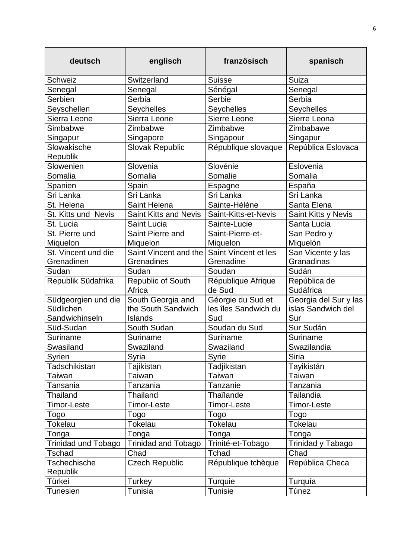| deutsch                                            | englisch                                                  | französisch                                      | spanisch                                           |
|----------------------------------------------------|-----------------------------------------------------------|--------------------------------------------------|----------------------------------------------------|
| Schweiz                                            | Switzerland                                               | <b>Suisse</b>                                    | Suiza                                              |
| Senegal                                            | Senegal                                                   | Sénégal                                          | Senegal                                            |
| Serbien                                            | Serbia                                                    | Serbie                                           | Serbia                                             |
| Seyschellen                                        | Seychelles                                                | Seychelles                                       | Seychelles                                         |
| Sierra Leone                                       | Sierra Leone                                              | Sierre Leone                                     | Sierre Leona                                       |
| Simbabwe                                           | Zimbabwe                                                  | Zimbabwe                                         | Zimbabawe                                          |
| Singapur                                           | Singapore                                                 | Singapour                                        | Singapur                                           |
| Slowakische<br>Republik                            | Slovak Republic                                           | République slovaque                              | República Eslovaca                                 |
| Slowenien                                          | Slovenia                                                  | Slovénie                                         | Eslovenia                                          |
| Somalia                                            | Somalia                                                   | Somalie                                          | Somalia                                            |
| Spanien                                            | Spain                                                     | Espagne                                          | España                                             |
| Sri Lanka                                          | Sri Lanka                                                 | Sri Lanka                                        | Sri Lanka                                          |
| St. Helena                                         | Saint Helena                                              | Sainte-Hélène                                    | Santa Elena                                        |
| St. Kitts und Nevis                                | Saint Kitts and Nevis                                     | Saint-Kitts-et-Nevis                             | Saint Kitts y Nevis                                |
| St. Lucia                                          | Saint Lucia                                               | Sainte-Lucie                                     | Santa Lucia                                        |
| St. Pierre und                                     | Saint Pierre and                                          | Saint-Pierre-et-                                 | San Pedro y                                        |
| Miquelon                                           | Miquelon                                                  | Miquelon                                         | Miquelón                                           |
| St. Vincent und die<br>Grenadinen                  | Saint Vincent and the<br>Grenadines                       | Saint Vincent et les<br>Grenadine                | San Vicente y las<br>Granadinas                    |
| Sudan                                              | Sudan                                                     | Soudan                                           | Sudán                                              |
| Republik Südafrika                                 | Republic of South<br>Africa                               | République Afrique<br>de Sud                     | República de<br>Sudáfrica                          |
| Südgeorgien und die<br>Südlichen<br>Sandwichinseln | South Georgia and<br>the South Sandwich<br><b>Islands</b> | Géorgie du Sud et<br>les îles Sandwich du<br>Sud | Georgia del Sur y las<br>islas Sandwich del<br>Sur |
| Süd-Sudan                                          | South Sudan                                               | Soudan du Sud                                    | Sur Sudán                                          |
| Suriname                                           | Suriname                                                  | Suriname                                         | Suriname                                           |
| Swasiland                                          | Swaziland                                                 | Swaziland                                        | Swazilandia                                        |
| Syrien                                             | Syria                                                     | Syrie                                            | <b>Siria</b>                                       |
| Tadschikistan                                      | Tajikistan                                                | Tadjikistan                                      | Tayikistán                                         |
| Taiwan                                             | Taiwan                                                    | Taiwan                                           | Taiwan                                             |
| Tansania                                           | Tanzania                                                  | Tanzanie                                         | Tanzania                                           |
| Thailand                                           | Thailand                                                  | Thaïlande                                        | Tailandia                                          |
| Timor-Leste                                        | Timor-Leste                                               | <b>Timor-Leste</b>                               | Timor-Leste                                        |
| Togo                                               | Togo                                                      | Togo                                             | Togo                                               |
| <b>Tokelau</b>                                     | <b>Tokelau</b>                                            | <b>Tokelau</b>                                   | <b>Tokelau</b>                                     |
| Tonga                                              | Tonga                                                     | Tonga                                            | Tonga                                              |
| <b>Trinidad und Tobago</b>                         | <b>Trinidad and Tobago</b>                                | Trinité-et-Tobago                                | Trinidad y Tabago                                  |
| <b>Tschad</b>                                      | Chad                                                      | Tchad                                            | Chad                                               |
| <b>Tschechische</b><br>Republik                    | <b>Czech Republic</b>                                     | République tchèque                               | República Checa                                    |
| Türkei                                             | Turkey                                                    | Turquie                                          | Turquía                                            |
| Tunesien                                           | Tunisia                                                   | Tunisie                                          | Túnez                                              |